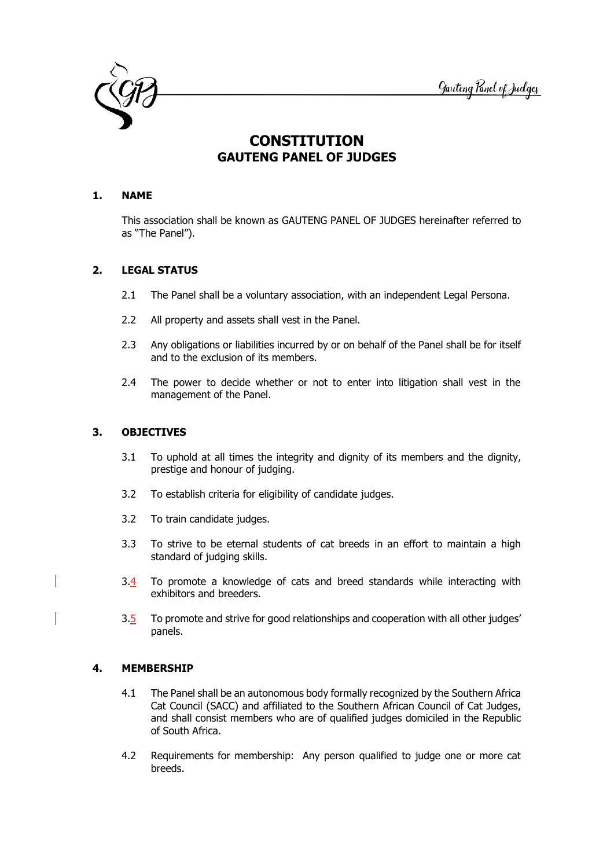

# **CONSTITUTION GAUTENG PANEL OF JUDGES**

## **1. NAME**

This association shall be known as GAUTENG PANEL OF JUDGES hereinafter referred to as "The Panel").

# **2. LEGAL STATUS**

- 2.1 The Panel shall be a voluntary association, with an independent Legal Persona.
- 2.2 All property and assets shall vest in the Panel.
- 2.3 Any obligations or liabilities incurred by or on behalf of the Panel shall be for itself and to the exclusion of its members.
- 2.4 The power to decide whether or not to enter into litigation shall vest in the management of the Panel.

# **3. OBJECTIVES**

- 3.1 To uphold at all times the integrity and dignity of its members and the dignity, prestige and honour of judging.
- 3.2 To establish criteria for eligibility of candidate judges.
- 3.2 To train candidate judges.
- 3.3 To strive to be eternal students of cat breeds in an effort to maintain a high standard of judging skills.
- 3.4 To promote a knowledge of cats and breed standards while interacting with exhibitors and breeders.
- 3.5 To promote and strive for good relationships and cooperation with all other judges' panels.

# **4. MEMBERSHIP**

- 4.1 The Panel shall be an autonomous body formally recognized by the Southern Africa Cat Council (SACC) and affiliated to the Southern African Council of Cat Judges, and shall consist members who are of qualified judges domiciled in the Republic of South Africa.
- 4.2 Requirements for membership: Any person qualified to judge one or more cat breeds.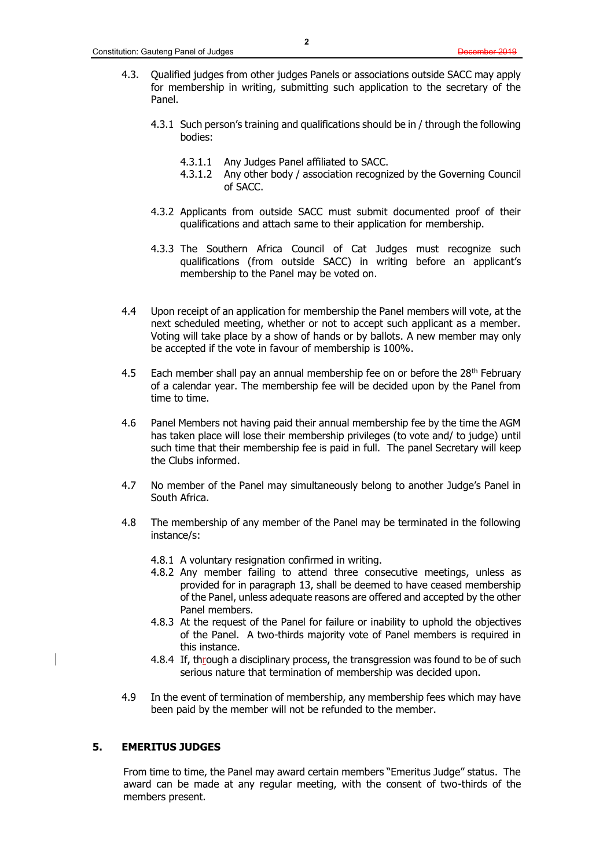- 4.3. Qualified judges from other judges Panels or associations outside SACC may apply for membership in writing, submitting such application to the secretary of the Panel.
	- 4.3.1 Such person's training and qualifications should be in / through the following bodies:
		- 4.3.1.1 Any Judges Panel affiliated to SACC.
		- 4.3.1.2 Any other body / association recognized by the Governing Council of SACC.
	- 4.3.2 Applicants from outside SACC must submit documented proof of their qualifications and attach same to their application for membership.
	- 4.3.3 The Southern Africa Council of Cat Judges must recognize such qualifications (from outside SACC) in writing before an applicant's membership to the Panel may be voted on.
- 4.4 Upon receipt of an application for membership the Panel members will vote, at the next scheduled meeting, whether or not to accept such applicant as a member. Voting will take place by a show of hands or by ballots. A new member may only be accepted if the vote in favour of membership is 100%.
- 4.5 Each member shall pay an annual membership fee on or before the 28<sup>th</sup> February of a calendar year. The membership fee will be decided upon by the Panel from time to time.
- 4.6 Panel Members not having paid their annual membership fee by the time the AGM has taken place will lose their membership privileges (to vote and/ to judge) until such time that their membership fee is paid in full. The panel Secretary will keep the Clubs informed.
- 4.7 No member of the Panel may simultaneously belong to another Judge's Panel in South Africa.
- 4.8 The membership of any member of the Panel may be terminated in the following instance/s:
	- 4.8.1 A voluntary resignation confirmed in writing.
	- 4.8.2 Any member failing to attend three consecutive meetings, unless as provided for in paragraph 13, shall be deemed to have ceased membership of the Panel, unless adequate reasons are offered and accepted by the other Panel members.
	- 4.8.3 At the request of the Panel for failure or inability to uphold the objectives of the Panel. A two-thirds majority vote of Panel members is required in this instance.
	- 4.8.4 If, through a disciplinary process, the transgression was found to be of such serious nature that termination of membership was decided upon.
- 4.9 In the event of termination of membership, any membership fees which may have been paid by the member will not be refunded to the member.

#### **5. EMERITUS JUDGES**

From time to time, the Panel may award certain members "Emeritus Judge" status. The award can be made at any regular meeting, with the consent of two-thirds of the members present.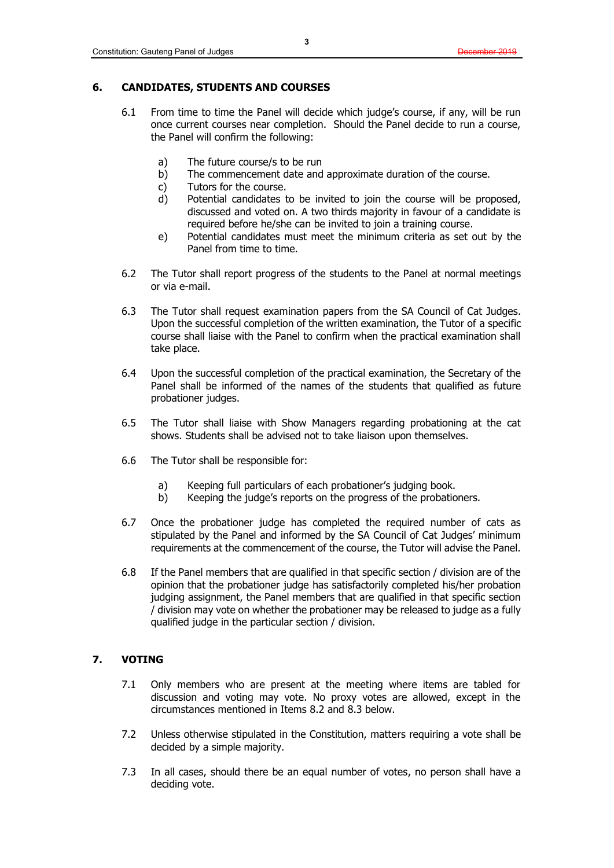## **6. CANDIDATES, STUDENTS AND COURSES**

- 6.1 From time to time the Panel will decide which judge's course, if any, will be run once current courses near completion. Should the Panel decide to run a course, the Panel will confirm the following:
	- a) The future course/s to be run
	- b) The commencement date and approximate duration of the course.
	- c) Tutors for the course.
	- d) Potential candidates to be invited to join the course will be proposed, discussed and voted on. A two thirds majority in favour of a candidate is required before he/she can be invited to join a training course.
	- e) Potential candidates must meet the minimum criteria as set out by the Panel from time to time.
- 6.2 The Tutor shall report progress of the students to the Panel at normal meetings or via e-mail.
- 6.3 The Tutor shall request examination papers from the SA Council of Cat Judges. Upon the successful completion of the written examination, the Tutor of a specific course shall liaise with the Panel to confirm when the practical examination shall take place.
- 6.4 Upon the successful completion of the practical examination, the Secretary of the Panel shall be informed of the names of the students that qualified as future probationer judges.
- 6.5 The Tutor shall liaise with Show Managers regarding probationing at the cat shows. Students shall be advised not to take liaison upon themselves.
- 6.6 The Tutor shall be responsible for:
	- a) Keeping full particulars of each probationer's judging book.
	- b) Keeping the judge's reports on the progress of the probationers.
- 6.7 Once the probationer judge has completed the required number of cats as stipulated by the Panel and informed by the SA Council of Cat Judges' minimum requirements at the commencement of the course, the Tutor will advise the Panel.
- 6.8 If the Panel members that are qualified in that specific section / division are of the opinion that the probationer judge has satisfactorily completed his/her probation judging assignment, the Panel members that are qualified in that specific section / division may vote on whether the probationer may be released to judge as a fully qualified judge in the particular section / division.

## **7. VOTING**

- 7.1 Only members who are present at the meeting where items are tabled for discussion and voting may vote. No proxy votes are allowed, except in the circumstances mentioned in Items 8.2 and 8.3 below.
- 7.2 Unless otherwise stipulated in the Constitution, matters requiring a vote shall be decided by a simple majority.
- 7.3 In all cases, should there be an equal number of votes, no person shall have a deciding vote.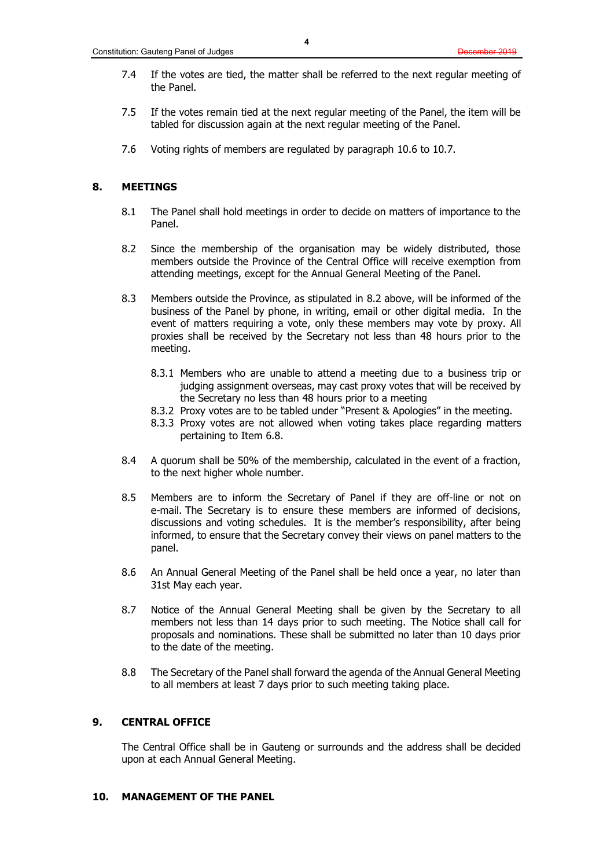- 7.4 If the votes are tied, the matter shall be referred to the next regular meeting of the Panel.
- 7.5 If the votes remain tied at the next regular meeting of the Panel, the item will be tabled for discussion again at the next regular meeting of the Panel.
- 7.6 Voting rights of members are regulated by paragraph 10.6 to 10.7.

#### **8. MEETINGS**

- 8.1 The Panel shall hold meetings in order to decide on matters of importance to the Panel.
- 8.2 Since the membership of the organisation may be widely distributed, those members outside the Province of the Central Office will receive exemption from attending meetings, except for the Annual General Meeting of the Panel.
- 8.3 Members outside the Province, as stipulated in 8.2 above, will be informed of the business of the Panel by phone, in writing, email or other digital media. In the event of matters requiring a vote, only these members may vote by proxy. All proxies shall be received by the Secretary not less than 48 hours prior to the meeting.
	- 8.3.1 Members who are unable to attend a meeting due to a business trip or judging assignment overseas, may cast proxy votes that will be received by the Secretary no less than 48 hours prior to a meeting
	- 8.3.2 Proxy votes are to be tabled under "Present & Apologies" in the meeting.
	- 8.3.3 Proxy votes are not allowed when voting takes place regarding matters pertaining to Item 6.8.
- 8.4 A quorum shall be 50% of the membership, calculated in the event of a fraction, to the next higher whole number.
- 8.5 Members are to inform the Secretary of Panel if they are off-line or not on e-mail. The Secretary is to ensure these members are informed of decisions, discussions and voting schedules. It is the member's responsibility, after being informed, to ensure that the Secretary convey their views on panel matters to the panel.
- 8.6 An Annual General Meeting of the Panel shall be held once a year, no later than 31st May each year.
- 8.7 Notice of the Annual General Meeting shall be given by the Secretary to all members not less than 14 days prior to such meeting. The Notice shall call for proposals and nominations. These shall be submitted no later than 10 days prior to the date of the meeting.
- 8.8 The Secretary of the Panel shall forward the agenda of the Annual General Meeting to all members at least 7 days prior to such meeting taking place.

## **9. CENTRAL OFFICE**

The Central Office shall be in Gauteng or surrounds and the address shall be decided upon at each Annual General Meeting.

## **10. MANAGEMENT OF THE PANEL**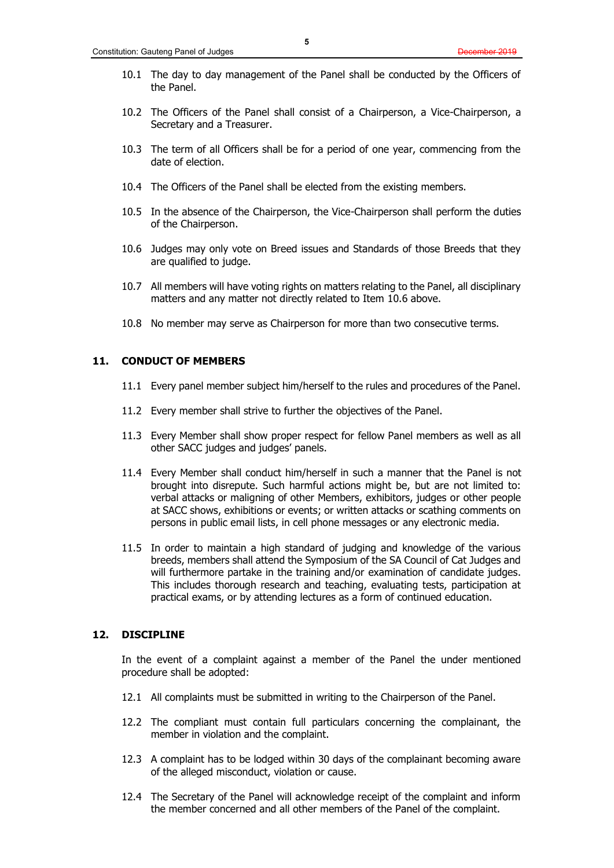- 10.1 The day to day management of the Panel shall be conducted by the Officers of the Panel.
- 10.2 The Officers of the Panel shall consist of a Chairperson, a Vice-Chairperson, a Secretary and a Treasurer.
- 10.3 The term of all Officers shall be for a period of one year, commencing from the date of election.
- 10.4 The Officers of the Panel shall be elected from the existing members.
- 10.5 In the absence of the Chairperson, the Vice-Chairperson shall perform the duties of the Chairperson.
- 10.6 Judges may only vote on Breed issues and Standards of those Breeds that they are qualified to judge.
- 10.7 All members will have voting rights on matters relating to the Panel, all disciplinary matters and any matter not directly related to Item 10.6 above.
- 10.8 No member may serve as Chairperson for more than two consecutive terms.

## **11. CONDUCT OF MEMBERS**

- 11.1 Every panel member subject him/herself to the rules and procedures of the Panel.
- 11.2 Every member shall strive to further the objectives of the Panel.
- 11.3 Every Member shall show proper respect for fellow Panel members as well as all other SACC judges and judges' panels.
- 11.4 Every Member shall conduct him/herself in such a manner that the Panel is not brought into disrepute. Such harmful actions might be, but are not limited to: verbal attacks or maligning of other Members, exhibitors, judges or other people at SACC shows, exhibitions or events; or written attacks or scathing comments on persons in public email lists, in cell phone messages or any electronic media.
- 11.5 In order to maintain a high standard of judging and knowledge of the various breeds, members shall attend the Symposium of the SA Council of Cat Judges and will furthermore partake in the training and/or examination of candidate judges. This includes thorough research and teaching, evaluating tests, participation at practical exams, or by attending lectures as a form of continued education.

#### **12. DISCIPLINE**

In the event of a complaint against a member of the Panel the under mentioned procedure shall be adopted:

- 12.1 All complaints must be submitted in writing to the Chairperson of the Panel.
- 12.2 The compliant must contain full particulars concerning the complainant, the member in violation and the complaint.
- 12.3 A complaint has to be lodged within 30 days of the complainant becoming aware of the alleged misconduct, violation or cause.
- 12.4 The Secretary of the Panel will acknowledge receipt of the complaint and inform the member concerned and all other members of the Panel of the complaint.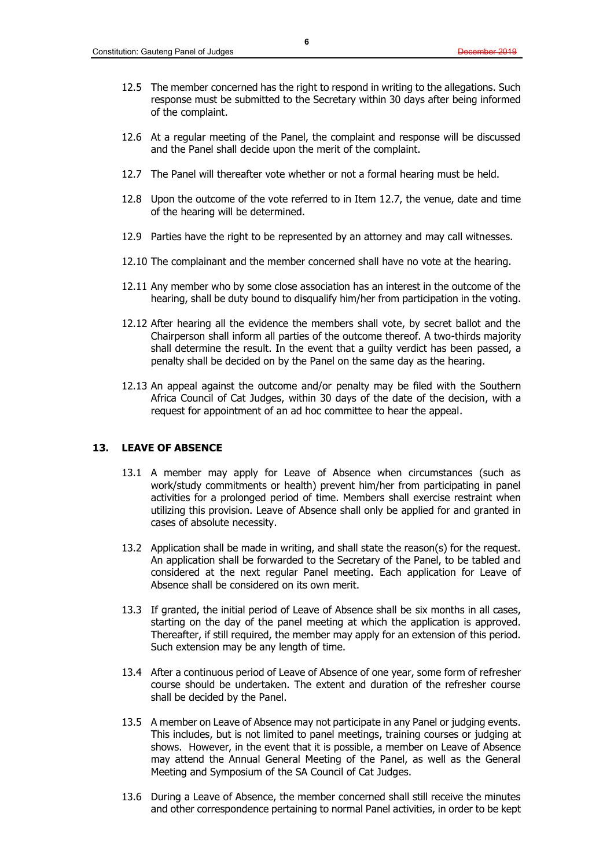- 12.5 The member concerned has the right to respond in writing to the allegations. Such response must be submitted to the Secretary within 30 days after being informed of the complaint.
- 12.6 At a regular meeting of the Panel, the complaint and response will be discussed and the Panel shall decide upon the merit of the complaint.
- 12.7 The Panel will thereafter vote whether or not a formal hearing must be held.
- 12.8 Upon the outcome of the vote referred to in Item 12.7, the venue, date and time of the hearing will be determined.
- 12.9 Parties have the right to be represented by an attorney and may call witnesses.
- 12.10 The complainant and the member concerned shall have no vote at the hearing.
- 12.11 Any member who by some close association has an interest in the outcome of the hearing, shall be duty bound to disqualify him/her from participation in the voting.
- 12.12 After hearing all the evidence the members shall vote, by secret ballot and the Chairperson shall inform all parties of the outcome thereof. A two-thirds majority shall determine the result. In the event that a guilty verdict has been passed, a penalty shall be decided on by the Panel on the same day as the hearing.
- 12.13 An appeal against the outcome and/or penalty may be filed with the Southern Africa Council of Cat Judges, within 30 days of the date of the decision, with a request for appointment of an ad hoc committee to hear the appeal.

#### **13. LEAVE OF ABSENCE**

- 13.1 A member may apply for Leave of Absence when circumstances (such as work/study commitments or health) prevent him/her from participating in panel activities for a prolonged period of time. Members shall exercise restraint when utilizing this provision. Leave of Absence shall only be applied for and granted in cases of absolute necessity.
- 13.2 Application shall be made in writing, and shall state the reason(s) for the request. An application shall be forwarded to the Secretary of the Panel, to be tabled and considered at the next regular Panel meeting. Each application for Leave of Absence shall be considered on its own merit.
- 13.3 If granted, the initial period of Leave of Absence shall be six months in all cases, starting on the day of the panel meeting at which the application is approved. Thereafter, if still required, the member may apply for an extension of this period. Such extension may be any length of time.
- 13.4 After a continuous period of Leave of Absence of one year, some form of refresher course should be undertaken. The extent and duration of the refresher course shall be decided by the Panel.
- 13.5 A member on Leave of Absence may not participate in any Panel or judging events. This includes, but is not limited to panel meetings, training courses or judging at shows. However, in the event that it is possible, a member on Leave of Absence may attend the Annual General Meeting of the Panel, as well as the General Meeting and Symposium of the SA Council of Cat Judges.
- 13.6 During a Leave of Absence, the member concerned shall still receive the minutes and other correspondence pertaining to normal Panel activities, in order to be kept